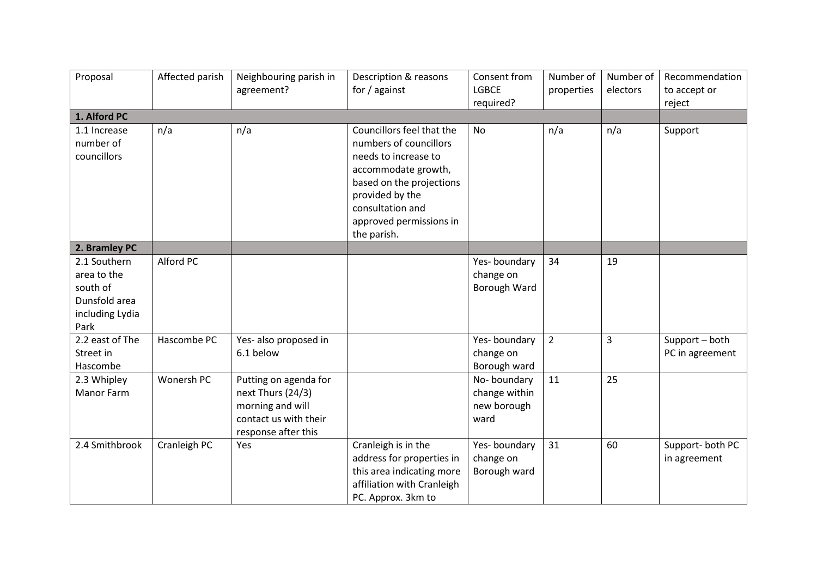| Proposal                                                                            | Affected parish | Neighbouring parish in<br>agreement?                                                                           | Description & reasons<br>for / against                                                                                                                                                                          | Consent from<br><b>LGBCE</b>                        | Number of<br>properties | Number of<br>electors | Recommendation<br>to accept or    |
|-------------------------------------------------------------------------------------|-----------------|----------------------------------------------------------------------------------------------------------------|-----------------------------------------------------------------------------------------------------------------------------------------------------------------------------------------------------------------|-----------------------------------------------------|-------------------------|-----------------------|-----------------------------------|
| 1. Alford PC                                                                        |                 |                                                                                                                |                                                                                                                                                                                                                 | required?                                           |                         |                       | reject                            |
| 1.1 Increase<br>number of<br>councillors                                            | n/a             | n/a                                                                                                            | Councillors feel that the<br>numbers of councillors<br>needs to increase to<br>accommodate growth,<br>based on the projections<br>provided by the<br>consultation and<br>approved permissions in<br>the parish. | <b>No</b>                                           | n/a                     | n/a                   | Support                           |
| 2. Bramley PC                                                                       |                 |                                                                                                                |                                                                                                                                                                                                                 |                                                     |                         |                       |                                   |
| 2.1 Southern<br>area to the<br>south of<br>Dunsfold area<br>including Lydia<br>Park | Alford PC       |                                                                                                                |                                                                                                                                                                                                                 | Yes-boundary<br>change on<br>Borough Ward           | 34                      | 19                    |                                   |
| 2.2 east of The<br>Street in<br>Hascombe                                            | Hascombe PC     | Yes- also proposed in<br>6.1 below                                                                             |                                                                                                                                                                                                                 | Yes-boundary<br>change on<br>Borough ward           | $\overline{2}$          | $\overline{3}$        | Support - both<br>PC in agreement |
| 2.3 Whipley<br><b>Manor Farm</b>                                                    | Wonersh PC      | Putting on agenda for<br>next Thurs (24/3)<br>morning and will<br>contact us with their<br>response after this |                                                                                                                                                                                                                 | No-boundary<br>change within<br>new borough<br>ward | 11                      | 25                    |                                   |
| 2.4 Smithbrook                                                                      | Cranleigh PC    | Yes                                                                                                            | Cranleigh is in the<br>address for properties in<br>this area indicating more<br>affiliation with Cranleigh<br>PC. Approx. 3km to                                                                               | Yes-boundary<br>change on<br>Borough ward           | 31                      | 60                    | Support-both PC<br>in agreement   |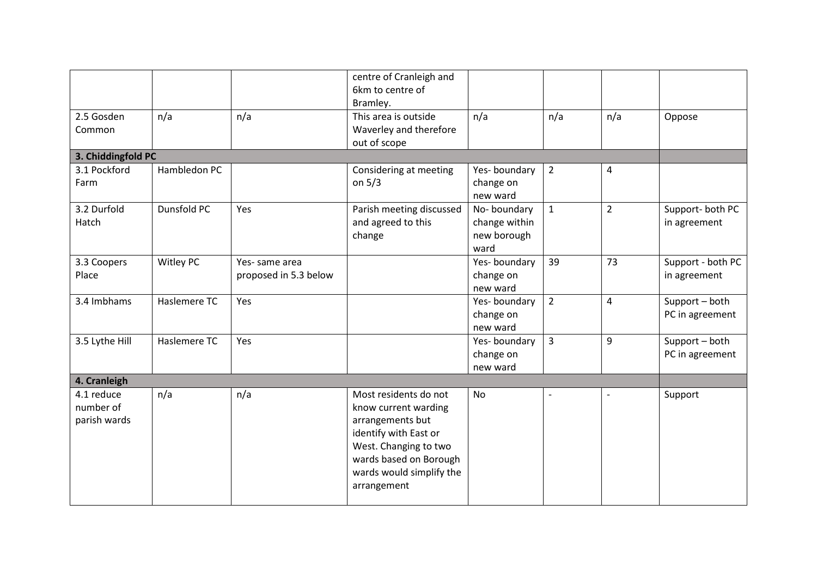|                                         |              |                                        | centre of Cranleigh and<br>6km to centre of<br>Bramley.                                                                                                                                  |                                                     |                |                         |                                   |
|-----------------------------------------|--------------|----------------------------------------|------------------------------------------------------------------------------------------------------------------------------------------------------------------------------------------|-----------------------------------------------------|----------------|-------------------------|-----------------------------------|
| 2.5 Gosden<br>Common                    | n/a          | n/a                                    | This area is outside<br>Waverley and therefore<br>out of scope                                                                                                                           | n/a                                                 | n/a            | n/a                     | Oppose                            |
| 3. Chiddingfold PC                      |              |                                        |                                                                                                                                                                                          |                                                     |                |                         |                                   |
| 3.1 Pockford<br>Farm                    | Hambledon PC |                                        | Considering at meeting<br>on $5/3$                                                                                                                                                       | Yes-boundary<br>change on<br>new ward               | $\overline{2}$ | 4                       |                                   |
| 3.2 Durfold<br>Hatch                    | Dunsfold PC  | Yes                                    | Parish meeting discussed<br>and agreed to this<br>change                                                                                                                                 | No-boundary<br>change within<br>new borough<br>ward | $\mathbf{1}$   | $\overline{2}$          | Support-both PC<br>in agreement   |
| 3.3 Coopers<br>Place                    | Witley PC    | Yes-same area<br>proposed in 5.3 below |                                                                                                                                                                                          | Yes-boundary<br>change on<br>new ward               | 39             | 73                      | Support - both PC<br>in agreement |
| 3.4 Imbhams                             | Haslemere TC | Yes                                    |                                                                                                                                                                                          | Yes-boundary<br>change on<br>new ward               | $\overline{2}$ | $\overline{\mathbf{4}}$ | Support - both<br>PC in agreement |
| 3.5 Lythe Hill                          | Haslemere TC | Yes                                    |                                                                                                                                                                                          | Yes-boundary<br>change on<br>new ward               | $\overline{3}$ | 9                       | Support - both<br>PC in agreement |
| 4. Cranleigh                            |              |                                        |                                                                                                                                                                                          |                                                     |                |                         |                                   |
| 4.1 reduce<br>number of<br>parish wards | n/a          | n/a                                    | Most residents do not<br>know current warding<br>arrangements but<br>identify with East or<br>West. Changing to two<br>wards based on Borough<br>wards would simplify the<br>arrangement | <b>No</b>                                           |                |                         | Support                           |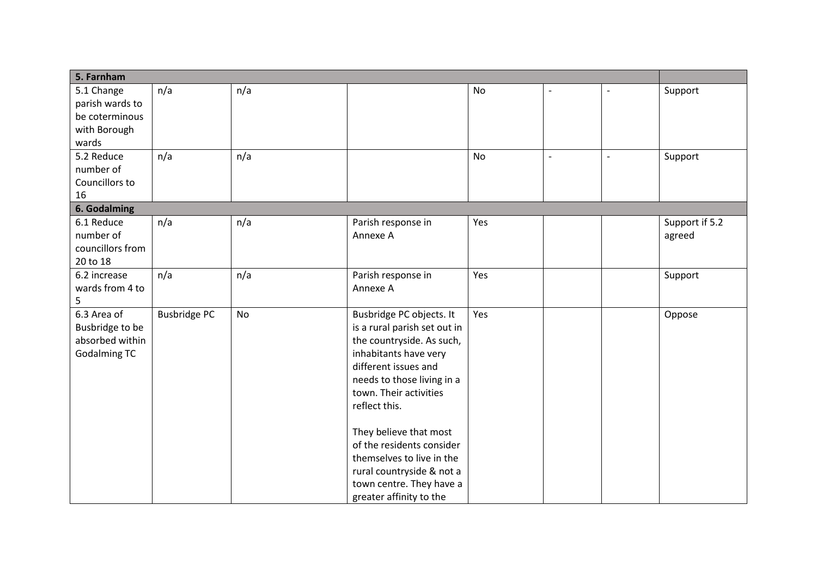| 5. Farnham          |                     |     |                                                       |           |  |                |
|---------------------|---------------------|-----|-------------------------------------------------------|-----------|--|----------------|
| 5.1 Change          | n/a                 | n/a |                                                       | No        |  | Support        |
| parish wards to     |                     |     |                                                       |           |  |                |
| be coterminous      |                     |     |                                                       |           |  |                |
| with Borough        |                     |     |                                                       |           |  |                |
| wards               |                     |     |                                                       |           |  |                |
| 5.2 Reduce          | n/a                 | n/a |                                                       | <b>No</b> |  | Support        |
| number of           |                     |     |                                                       |           |  |                |
| Councillors to      |                     |     |                                                       |           |  |                |
| 16                  |                     |     |                                                       |           |  |                |
| 6. Godalming        |                     |     |                                                       |           |  |                |
| 6.1 Reduce          | n/a                 | n/a | Parish response in                                    | Yes       |  | Support if 5.2 |
| number of           |                     |     | Annexe A                                              |           |  | agreed         |
| councillors from    |                     |     |                                                       |           |  |                |
| 20 to 18            |                     |     |                                                       |           |  |                |
| 6.2 increase        | n/a                 | n/a | Parish response in                                    | Yes       |  | Support        |
| wards from 4 to     |                     |     | Annexe A                                              |           |  |                |
| 5                   |                     |     |                                                       |           |  |                |
| 6.3 Area of         | <b>Busbridge PC</b> | No  | Busbridge PC objects. It                              | Yes       |  | Oppose         |
| Busbridge to be     |                     |     | is a rural parish set out in                          |           |  |                |
| absorbed within     |                     |     | the countryside. As such,                             |           |  |                |
| <b>Godalming TC</b> |                     |     | inhabitants have very                                 |           |  |                |
|                     |                     |     | different issues and                                  |           |  |                |
|                     |                     |     | needs to those living in a                            |           |  |                |
|                     |                     |     | town. Their activities                                |           |  |                |
|                     |                     |     | reflect this.                                         |           |  |                |
|                     |                     |     | They believe that most                                |           |  |                |
|                     |                     |     | of the residents consider                             |           |  |                |
|                     |                     |     | themselves to live in the                             |           |  |                |
|                     |                     |     |                                                       |           |  |                |
|                     |                     |     | rural countryside & not a<br>town centre. They have a |           |  |                |
|                     |                     |     |                                                       |           |  |                |
|                     |                     |     | greater affinity to the                               |           |  |                |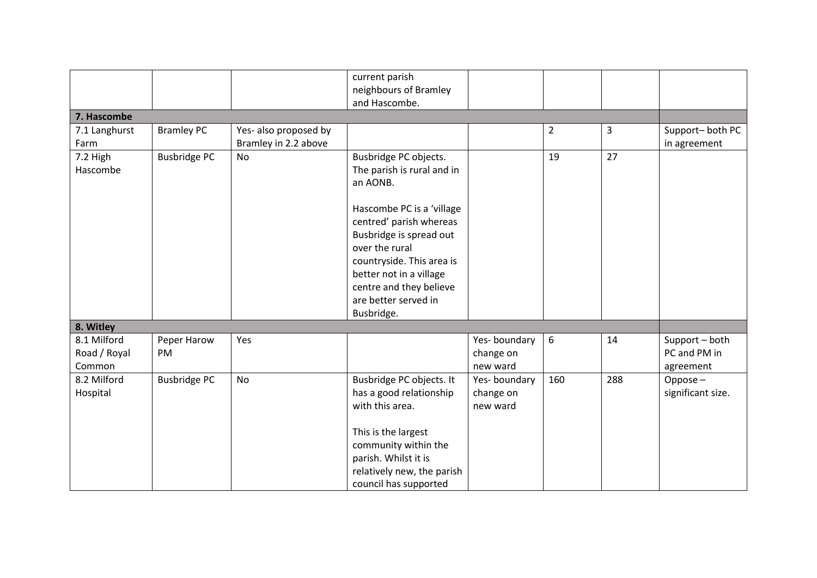|                     |                       | current parish                                                                                                                                                                                               |                                       |                |              |                                             |
|---------------------|-----------------------|--------------------------------------------------------------------------------------------------------------------------------------------------------------------------------------------------------------|---------------------------------------|----------------|--------------|---------------------------------------------|
|                     |                       | neighbours of Bramley                                                                                                                                                                                        |                                       |                |              |                                             |
|                     |                       | and Hascombe.                                                                                                                                                                                                |                                       |                |              |                                             |
|                     |                       |                                                                                                                                                                                                              |                                       |                |              |                                             |
| <b>Bramley PC</b>   | Yes- also proposed by |                                                                                                                                                                                                              |                                       | $\overline{2}$ | $\mathbf{3}$ | Support-both PC                             |
|                     |                       |                                                                                                                                                                                                              |                                       |                |              | in agreement                                |
|                     |                       | The parish is rural and in<br>an AONB.                                                                                                                                                                       |                                       |                |              |                                             |
|                     |                       | Hascombe PC is a 'village<br>centred' parish whereas<br>Busbridge is spread out<br>over the rural<br>countryside. This area is<br>better not in a village<br>centre and they believe<br>are better served in |                                       |                |              |                                             |
|                     |                       |                                                                                                                                                                                                              |                                       |                |              |                                             |
| Peper Harow<br>PM   | Yes                   |                                                                                                                                                                                                              | Yes-boundary<br>change on<br>new ward | 6              | 14           | Support - both<br>PC and PM in<br>agreement |
| <b>Busbridge PC</b> | <b>No</b>             | Busbridge PC objects. It<br>has a good relationship<br>with this area.<br>This is the largest<br>community within the<br>parish. Whilst it is<br>relatively new, the parish                                  | Yes-boundary<br>change on<br>new ward | 160            | 288          | Oppose $-$<br>significant size.             |
|                     | <b>Busbridge PC</b>   | Bramley in 2.2 above<br><b>No</b>                                                                                                                                                                            | Busbridge PC objects.<br>Busbridge.   |                | 19           | 27                                          |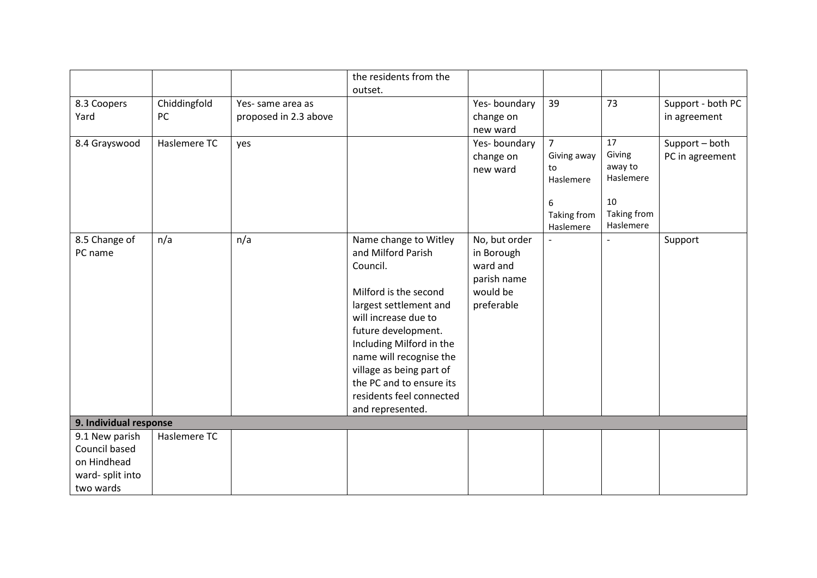|                        |              |                       | the residents from the                               |               |                 |                      |                   |
|------------------------|--------------|-----------------------|------------------------------------------------------|---------------|-----------------|----------------------|-------------------|
|                        |              |                       | outset.                                              |               |                 |                      |                   |
| 8.3 Coopers            | Chiddingfold | Yes-same area as      |                                                      | Yes-boundary  | 39              | 73                   | Support - both PC |
| Yard                   | PC           | proposed in 2.3 above |                                                      | change on     |                 |                      | in agreement      |
|                        |              |                       |                                                      | new ward      |                 |                      |                   |
| 8.4 Grayswood          | Haslemere TC | yes                   |                                                      | Yes-boundary  | $\overline{7}$  | 17                   | Support - both    |
|                        |              |                       |                                                      | change on     | Giving away     | Giving               | PC in agreement   |
|                        |              |                       |                                                      | new ward      | to<br>Haslemere | away to<br>Haslemere |                   |
|                        |              |                       |                                                      |               |                 |                      |                   |
|                        |              |                       |                                                      |               | 6               | 10                   |                   |
|                        |              |                       |                                                      |               | Taking from     | Taking from          |                   |
|                        |              |                       |                                                      |               | Haslemere       | Haslemere            |                   |
| 8.5 Change of          | n/a          | n/a                   | Name change to Witley                                | No, but order |                 |                      | Support           |
| PC name                |              |                       | and Milford Parish                                   | in Borough    |                 |                      |                   |
|                        |              |                       | Council.                                             | ward and      |                 |                      |                   |
|                        |              |                       |                                                      | parish name   |                 |                      |                   |
|                        |              |                       | Milford is the second                                | would be      |                 |                      |                   |
|                        |              |                       | largest settlement and                               | preferable    |                 |                      |                   |
|                        |              |                       | will increase due to                                 |               |                 |                      |                   |
|                        |              |                       | future development.                                  |               |                 |                      |                   |
|                        |              |                       | Including Milford in the                             |               |                 |                      |                   |
|                        |              |                       | name will recognise the                              |               |                 |                      |                   |
|                        |              |                       | village as being part of<br>the PC and to ensure its |               |                 |                      |                   |
|                        |              |                       | residents feel connected                             |               |                 |                      |                   |
|                        |              |                       | and represented.                                     |               |                 |                      |                   |
| 9. Individual response |              |                       |                                                      |               |                 |                      |                   |
| 9.1 New parish         | Haslemere TC |                       |                                                      |               |                 |                      |                   |
| Council based          |              |                       |                                                      |               |                 |                      |                   |
| on Hindhead            |              |                       |                                                      |               |                 |                      |                   |
| ward-split into        |              |                       |                                                      |               |                 |                      |                   |
| two wards              |              |                       |                                                      |               |                 |                      |                   |